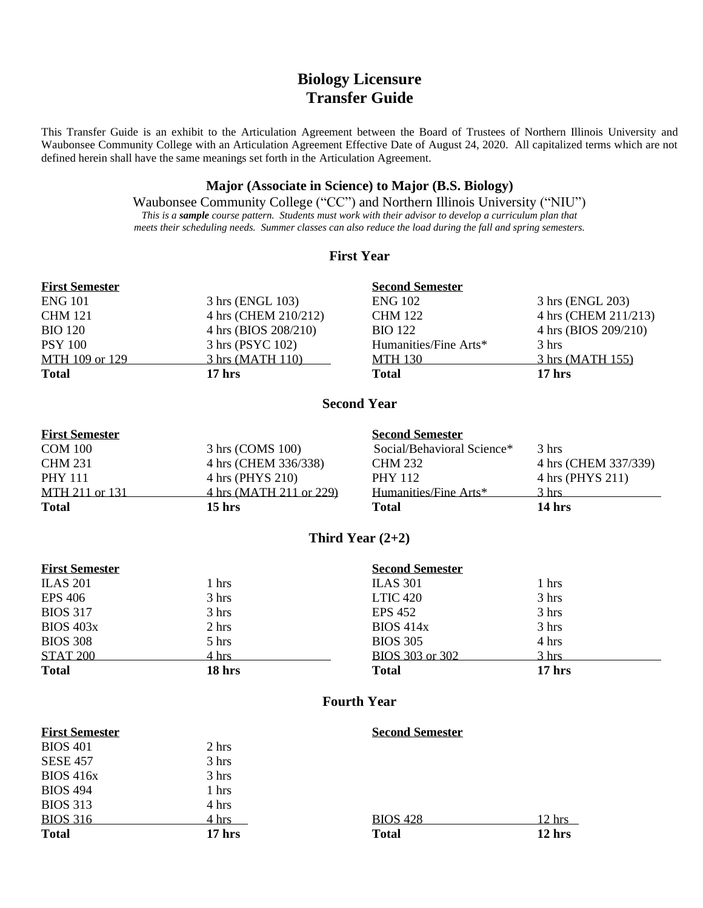# **Biology Licensure Transfer Guide**

This Transfer Guide is an exhibit to the Articulation Agreement between the Board of Trustees of Northern Illinois University and Waubonsee Community College with an Articulation Agreement Effective Date of August 24, 2020. All capitalized terms which are not defined herein shall have the same meanings set forth in the Articulation Agreement.

#### **Major (Associate in Science) to Major (B.S. Biology)**

Waubonsee Community College ("CC") and Northern Illinois University ("NIU") *This is a sample course pattern. Students must work with their advisor to develop a curriculum plan that meets their scheduling needs. Summer classes can also reduce the load during the fall and spring semesters.*

#### **First Year**

| <b>First Semester</b> |                      | <b>Second Semester</b> |                            |
|-----------------------|----------------------|------------------------|----------------------------|
| <b>ENG 101</b>        | 3 hrs (ENGL 103)     | <b>ENG 102</b>         | 3 hrs (ENGL 203)           |
| <b>CHM 121</b>        | 4 hrs (CHEM 210/212) | <b>CHM 122</b>         | 4 hrs (CHEM 211/213)       |
| <b>BIO</b> 120        | 4 hrs (BIOS 208/210) | <b>BIO</b> 122         | 4 hrs (BIOS 209/210)       |
| <b>PSY 100</b>        | 3 hrs (PSYC 102)     | Humanities/Fine Arts*  | 3 hrs                      |
| MTH 109 or 129        | 3 hrs (MATH 110)     | <b>MTH 130</b>         | $3 \text{ hrs}$ (MATH 155) |
| <b>Total</b>          | 17 <sub>hrs</sub>    | <b>Total</b>           | $17$ hrs                   |

### **Second Year**

### **First Semester Second Semester** COM 100 3 hrs (COMS 100) Social/Behavioral Science\* 3 hrs CHM 231 4 hrs (CHEM 336/338) CHM 232 4 hrs (CHEM 337/339) PHY 111 4 hrs (PHYS 210) PHY 112 4 hrs (PHYS 211) MTH 211 or 131 4 hrs (MATH 211 or 229) Humanities/Fine Arts\* 3 hrs **Total 15 hrs Total 14 hrs**

## **Third Year (2+2)**

| <b>First Semester</b> |                 | <b>Second Semester</b> |                 |  |
|-----------------------|-----------------|------------------------|-----------------|--|
| <b>ILAS 201</b>       | 1 hrs           | <b>ILAS 301</b>        | 1 hrs           |  |
| <b>EPS 406</b>        | 3 hrs           | LTIC 420               | 3 hrs           |  |
| <b>BIOS 317</b>       | 3 hrs           | EPS 452                | 3 hrs           |  |
| <b>BIOS 403x</b>      | $2 \text{ hrs}$ | BIOS 414x              | 3 hrs           |  |
| <b>BIOS 308</b>       | $5 \text{ hrs}$ | <b>BIOS 305</b>        | 4 hrs           |  |
| <b>STAT 200</b>       | 4 hrs           | BIOS 303 or 302        | $3 \text{ hrs}$ |  |
| <b>Total</b>          | 18 hrs          | <b>Total</b>           | $17$ hrs        |  |

## **Fourth Year**

| <b>First Semester</b> |          | <b>Second Semester</b> |                   |
|-----------------------|----------|------------------------|-------------------|
| <b>BIOS 401</b>       | 2 hrs    |                        |                   |
| <b>SESE 457</b>       | 3 hrs    |                        |                   |
| BIOS 416x             | 3 hrs    |                        |                   |
| <b>BIOS 494</b>       | 1 hrs    |                        |                   |
| <b>BIOS 313</b>       | 4 hrs    |                        |                   |
| <b>BIOS 316</b>       | 4 hrs    | <b>BIOS 428</b>        | 12 hrs            |
| <b>Total</b>          | $17$ hrs | <b>Total</b>           | 12 <sub>hrs</sub> |